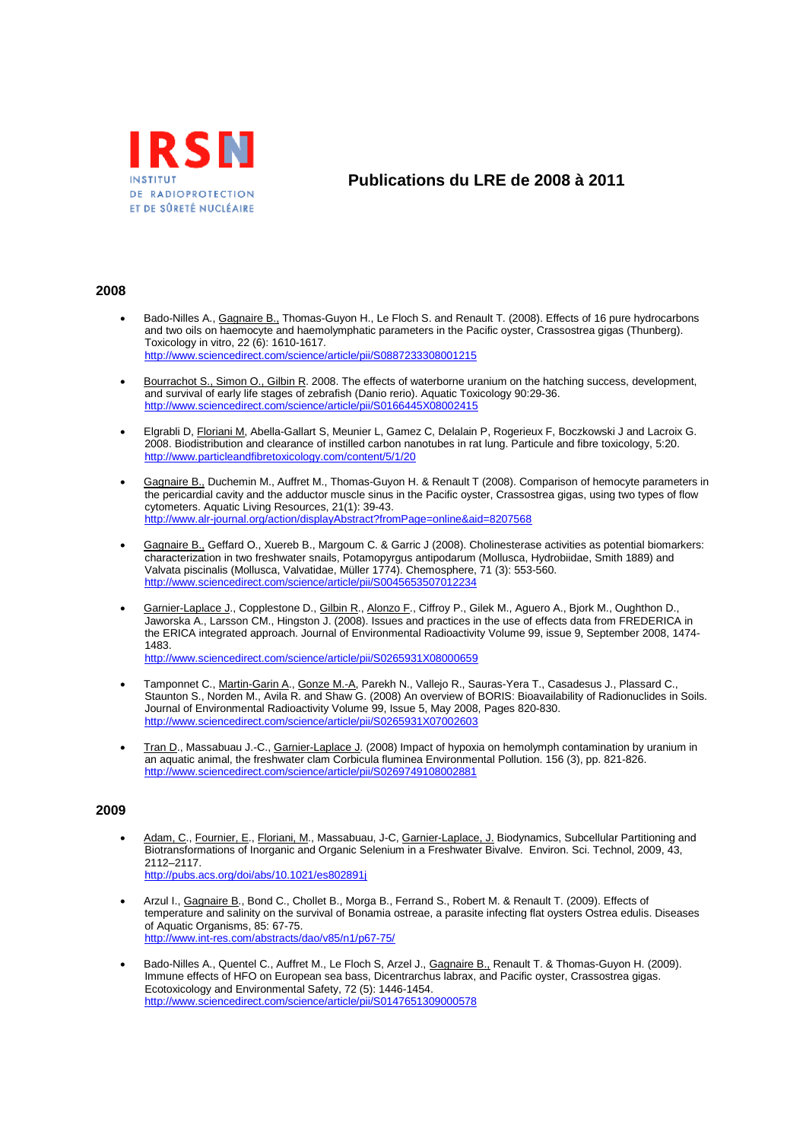

# **Publications du LRE de 2008 à 2011**

### **2008**

- Bado-Nilles A., Gagnaire B., Thomas-Guyon H., Le Floch S. and Renault T. (2008). Effects of 16 pure hydrocarbons and two oils on haemocyte and haemolymphatic parameters in the Pacific oyster, Crassostrea gigas (Thunberg). Toxicology in vitro, 22 (6): 1610-1617. http://www.sciencedirect.com/science/article/pii/S0887233308001215
- Bourrachot S., Simon O., Gilbin R. 2008. The effects of waterborne uranium on the hatching success, development. and survival of early life stages of zebrafish (Danio rerio). Aquatic Toxicology 90:29-36. http://www.sciencedirect.com/science/article/pii/S0166445X08002415
- Elgrabli D, Floriani M, Abella-Gallart S, Meunier L, Gamez C, Delalain P, Rogerieux F, Boczkowski J and Lacroix G. 2008. Biodistribution and clearance of instilled carbon nanotubes in rat lung. Particule and fibre toxicology, 5:20. http://www.particleandfibretoxicology.com/content/5/1/20
- Gagnaire B., Duchemin M., Auffret M., Thomas-Guyon H. & Renault T (2008). Comparison of hemocyte parameters in the pericardial cavity and the adductor muscle sinus in the Pacific oyster, Crassostrea gigas, using two types of flow cytometers. Aquatic Living Resources, 21(1): 39-43. http://www.alr-journal.org/action/displayAbstract?fromPage=online&aid=8207568
- Gagnaire B., Geffard O., Xuereb B., Margoum C. & Garric J (2008). Cholinesterase activities as potential biomarkers: characterization in two freshwater snails, Potamopyrgus antipodarum (Mollusca, Hydrobiidae, Smith 1889) and Valvata piscinalis (Mollusca, Valvatidae, Müller 1774). Chemosphere, 71 (3): 553-560. http://www.sciencedirect.com/science/article/pii/S0045653507012234
- Garnier-Laplace J., Copplestone D., Gilbin R., Alonzo F., Ciffroy P., Gilek M., Aguero A., Bjork M., Oughthon D., Jaworska A., Larsson CM., Hingston J. (2008). Issues and practices in the use of effects data from FREDERICA in the ERICA integrated approach. Journal of Environmental Radioactivity Volume 99, issue 9, September 2008, 1474- 1483.

http://www.sciencedirect.com/science/article/pii/S0265931X08000659

- Tamponnet C., Martin-Garin A., Gonze M.-A, Parekh N., Vallejo R., Sauras-Yera T., Casadesus J., Plassard C., Staunton S., Norden M., Avila R. and Shaw G. (2008) An overview of BORIS: Bioavailability of Radionuclides in Soils. Journal of Environmental Radioactivity Volume 99, Issue 5, May 2008, Pages 820-830. http://www.sciencedirect.com/science/article/pii/S0265931X07002603
- Tran D., Massabuau J.-C., Garnier-Laplace J. (2008) Impact of hypoxia on hemolymph contamination by uranium in an aquatic animal, the freshwater clam Corbicula fluminea Environmental Pollution. 156 (3), pp. 821-826. http://www.sciencedirect.com/science/article/pii/S0269749108002881

#### **2009**

- Adam, C., Fournier, E., Floriani, M., Massabuau, J-C, Garnier-Laplace, J. Biodynamics, Subcellular Partitioning and Biotransformations of Inorganic and Organic Selenium in a Freshwater Bivalve. Environ. Sci. Technol, 2009, 43, 2112–2117. http://pubs.acs.org/doi/abs/10.1021/es802891j
- Arzul I., Gagnaire B., Bond C., Chollet B., Morga B., Ferrand S., Robert M. & Renault T. (2009). Effects of temperature and salinity on the survival of Bonamia ostreae, a parasite infecting flat oysters Ostrea edulis. Diseases of Aquatic Organisms, 85: 67-75. http://www.int-res.com/abstracts/dao/v85/n1/p67-75/
- Bado-Nilles A., Quentel C., Auffret M., Le Floch S, Arzel J., Gagnaire B., Renault T. & Thomas-Guyon H. (2009). Immune effects of HFO on European sea bass, Dicentrarchus labrax, and Pacific oyster, Crassostrea gigas. Ecotoxicology and Environmental Safety, 72 (5): 1446-1454. http://www.sciencedirect.com/science/article/pii/S0147651309000578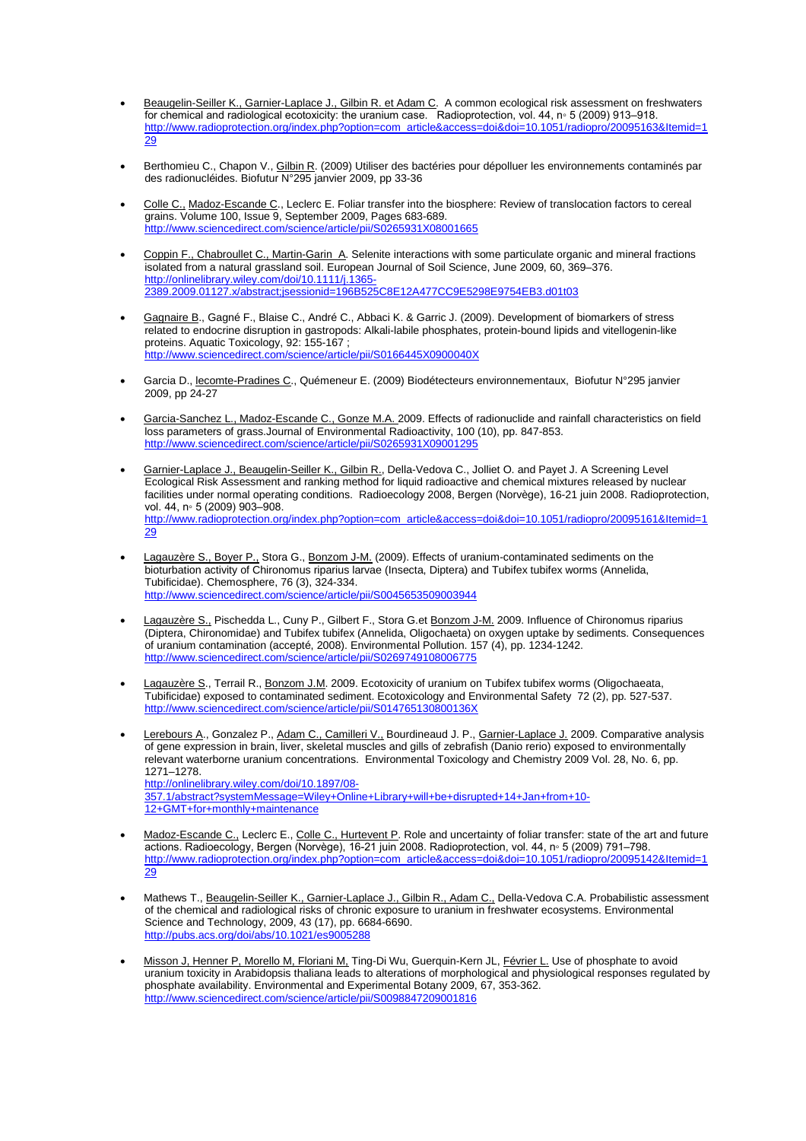- **Beaugelin-Seiller K., Garnier-Laplace J., Gilbin R. et Adam C.** A common ecological risk assessment on freshwaters for chemical and radiological ecotoxicity: the uranium case. Radioprotection, vol. 44, n◦ 5 (2009) 913–918. http://www.radioprotection.org/index.php?option=com\_article&access=doi&doi=10.1051/radiopro/20095163&Itemid=1 29
- Berthomieu C., Chapon V., Gilbin R. (2009) Utiliser des bactéries pour dépolluer les environnements contaminés par des radionucléides. Biofutur N°295 janvier 2009, pp 33-36
- Colle C., Madoz-Escande C., Leclerc E. Foliar transfer into the biosphere: Review of translocation factors to cereal grains. Volume 100, Issue 9, September 2009, Pages 683-689. http://www.sciencedirect.com/science/article/pii/S0265931X08001665
- Coppin F., Chabroullet C., Martin-Garin A. Selenite interactions with some particulate organic and mineral fractions isolated from a natural grassland soil. European Journal of Soil Science, June 2009, 60, 369–376. http://onlinelibrary.wiley.com/doi/10.1111/j.1365- 2389.2009.01127.x/abstract;jsessionid=196B525C8E12A477CC9E5298E9754EB3.d01t03
- Gagnaire B., Gagné F., Blaise C., André C., Abbaci K. & Garric J. (2009). Development of biomarkers of stress related to endocrine disruption in gastropods: Alkali-labile phosphates, protein-bound lipids and vitellogenin-like proteins. Aquatic Toxicology, 92: 155-167 ; http://www.sciencedirect.com/science/article/pii/S0166445X0900040X
- Garcia D., lecomte-Pradines C., Quémeneur E. (2009) Biodétecteurs environnementaux, Biofutur N°295 janvier 2009, pp 24-27
- Garcia-Sanchez L., Madoz-Escande C., Gonze M.A. 2009. Effects of radionuclide and rainfall characteristics on field loss parameters of grass.Journal of Environmental Radioactivity, 100 (10), pp. 847-853. http://www.sciencedirect.com/science/article/pii/S0265931X09001295
- Garnier-Laplace J., Beaugelin-Seiller K., Gilbin R., Della-Vedova C., Jolliet O. and Payet J. A Screening Level Ecological Risk Assessment and ranking method for liquid radioactive and chemical mixtures released by nuclear facilities under normal operating conditions. Radioecology 2008, Bergen (Norvège), 16-21 juin 2008. Radioprotection, vol. 44, n∘ 5 (2009) 903-908. http://www.radioprotection.org/index.php?option=com\_article&access=doi&doi=10.1051/radiopro/20095161&Itemid=1 29
- Lagauzère S., Boyer P., Stora G., Bonzom J-M. (2009). Effects of uranium-contaminated sediments on the bioturbation activity of Chironomus riparius larvae (Insecta, Diptera) and Tubifex tubifex worms (Annelida, Tubificidae). Chemosphere, 76 (3), 324-334. http://www.sciencedirect.com/science/article/pii/S0045653509003944
- Lagauzère S., Pischedda L., Cuny P., Gilbert F., Stora G.et Bonzom J-M. 2009. Influence of Chironomus riparius **Exploration Eng. 1988 First Eng. 1988**<br>(Diptera, Chironomidae) and Tubifex tubifex (Annelida, Oligochaeta) on oxygen uptake by sediments. Consequences of uranium contamination (accepté, 2008). Environmental Pollution. 157 (4), pp. 1234-1242. http://www.sciencedirect.com/science/article/pii/S0269749108006775
- Lagauzère S., Terrail R., Bonzom J.M. 2009. Ecotoxicity of uranium on Tubifex tubifex worms (Oligochaeata, Tubificidae) exposed to contaminated sediment. Ecotoxicology and Environmental Safety 72 (2), pp. 527-537. http://www.sciencedirect.com/science/article/pii/S014765130800136X
- Lerebours A., Gonzalez P., Adam C., Camilleri V., Bourdineaud J. P., Garnier-Laplace J. 2009. Comparative analysis of gene expression in brain, liver, skeletal muscles and gills of zebrafish (Danio rerio) exposed to environmentally relevant waterborne uranium concentrations. Environmental Toxicology and Chemistry 2009 Vol. 28, No. 6, pp. 1271–1278. http://onlinelibrary.wiley.com/doi/10.1897/08- 357.1/abstract?systemMessage=Wiley+Online+Library+will+be+disrupted+14+Jan+from+10- 12+GMT+for+monthly+maintenance
- Madoz-Escande C., Leclerc E., Colle C., Hurtevent P. Role and uncertainty of foliar transfer: state of the art and future actions. Radioecology, Bergen (Norvège), 16-21 juin 2008. Radioprotection, vol. 44, n◦ 5 (2009) 791–798. http://www.radioprotection.org/index.php?option=com\_article&access=doi&doi=10.1051/radiopro/20095142&Itemid=1 29
- Mathews T., Beaugelin-Seiller K., Garnier-Laplace J., Gilbin R., Adam C., Della-Vedova C.A. Probabilistic assessment of the chemical and radiological risks of chronic exposure to uranium in freshwater ecosystems. Environmental Science and Technology, 2009, 43 (17), pp. 6684-6690. http://pubs.acs.org/doi/abs/10.1021/es900
- Misson J, Henner P, Morello M, Floriani M, Ting-Di Wu, Guerquin-Kern JL, Février L. Use of phosphate to avoid uranium toxicity in Arabidopsis thaliana leads to alterations of morphological and physiological responses regulated by phosphate availability. Environmental and Experimental Botany 2009, 67, 353-362. http://www.sciencedirect.com/science/article/pii/S0098847209001816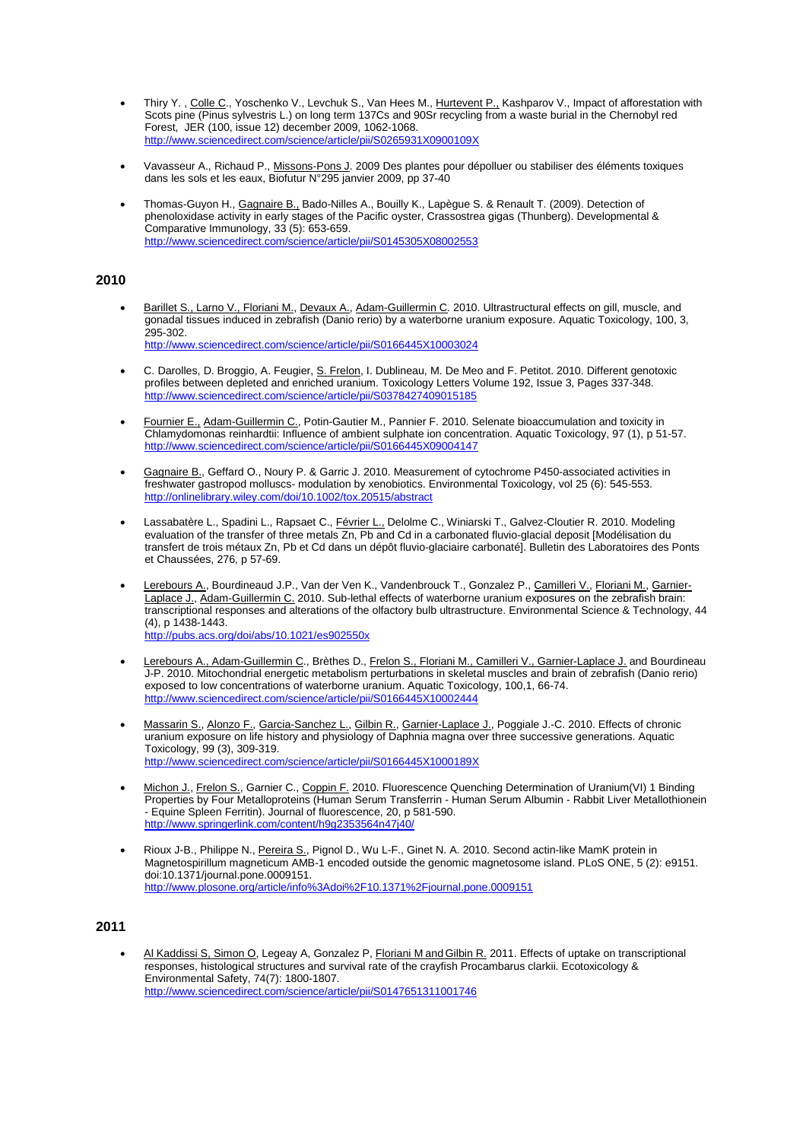- Thiry Y. , Colle C., Yoschenko V., Levchuk S., Van Hees M., Hurtevent P., Kashparov V., Impact of afforestation with Scots pine (Pinus sylvestris L.) on long term 137Cs and 90Sr recycling from a waste burial in the Chernobyl red Forest, JER (100, issue 12) december 2009, 1062-1068. http://www.sciencedirect.com/science/article/pii/S0265931X0900109X
- Vavasseur A., Richaud P., Missons-Pons J. 2009 Des plantes pour dépolluer ou stabiliser des éléments toxiques dans les sols et les eaux, Biofutur N°295 janvier 2009, pp 37-40
- Thomas-Guyon H., Gagnaire B., Bado-Nilles A., Bouilly K., Lapègue S. & Renault T. (2009). Detection of phenoloxidase activity in early stages of the Pacific oyster, Crassostrea gigas (Thunberg). Developmental & Comparative Immunology, 33 (5): 653-659. http://www.sciencedirect.com/science/article/pii/S0145305X08002553

#### **2010**

- Barillet S., Larno V., Floriani M., Devaux A., Adam-Guillermin C. 2010. Ultrastructural effects on gill, muscle, and gonadal tissues induced in zebrafish (Danio rerio) by a waterborne uranium exposure. Aquatic Toxicology, 100, 3, 295-302. http://www.sciencedirect.com/science/article/pii/S0166445X10003024
- C. Darolles, D. Broggio, A. Feugier, S. Frelon, I. Dublineau, M. De Meo and F. Petitot. 2010. Different genotoxic profiles between depleted and enriched uranium. Toxicology Letters Volume 192, Issue 3, Pages 337-348. http://www.sciencedirect.com/science/article/pii/S0378427409015185
- Fournier E., Adam-Guillermin C., Potin-Gautier M., Pannier F. 2010. Selenate bioaccumulation and toxicity in Chlamydomonas reinhardtii: Influence of ambient sulphate ion concentration. Aquatic Toxicology, 97 (1), p 51-57. http://www.sciencedirect.com/science/article/pii/S0166445X09004147
- Gagnaire B., Geffard O., Noury P. & Garric J. 2010. Measurement of cytochrome P450-associated activities in freshwater gastropod molluscs- modulation by xenobiotics. Environmental Toxicology, vol 25 (6): 545-553. http://onlinelibrary.wiley.com/doi/10.1002/tox.20515/abstract
- Lassabatère L., Spadini L., Rapsaet C., Février L., Delolme C., Winiarski T., Galvez-Cloutier R. 2010. Modeling evaluation of the transfer of three metals Zn, Pb and Cd in a carbonated fluvio-glacial deposit [Modélisation du transfert de trois métaux Zn, Pb et Cd dans un dépôt fluvio-glaciaire carbonaté]. Bulletin des Laboratoires des Ponts et Chaussées, 276, p 57-69.
- Lerebours A., Bourdineaud J.P., Van der Ven K., Vandenbrouck T., Gonzalez P., Camilleri V., Floriani M., Garnier-Laplace J., Adam-Guillermin C. 2010. Sub-lethal effects of waterborne uranium exposures on the zebrafish brain: transcriptional responses and alterations of the olfactory bulb ultrastructure. Environmental Science & Technology, 44 (4), p 1438-1443. http://pubs.acs.org/doi/abs/10.1021/es902550x
- Lerebours A., Adam-Guillermin C., Brèthes D., Frelon S., Floriani M., Camilleri V., Garnier-Laplace J. and Bourdineau J-P. 2010. Mitochondrial energetic metabolism perturbations in skeletal muscles and brain of zebrafish (Danio rerio) exposed to low concentrations of waterborne uranium. Aquatic Toxicology, 100,1, 66-74. http://www.sciencedirect.com/science/article/pii/S0166445X10002444
- Massarin S., Alonzo F., Garcia-Sanchez L., Gilbin R., Garnier-Laplace J., Poggiale J.-C. 2010. Effects of chronic uranium exposure on life history and physiology of Daphnia magna over three successive generations. Aquatic Toxicology, 99 (3), 309-319. http://www.sciencedirect.com/science/article/pii/S0166445X1000189X
- Michon J., Frelon S., Garnier C., Coppin F. 2010. Fluorescence Quenching Determination of Uranium(VI) 1 Binding Properties by Four Metalloproteins (Human Serum Transferrin - Human Serum Albumin - Rabbit Liver Metallothionein - Equine Spleen Ferritin). Journal of fluorescence, 20, p 581-590. http://www.springerlink.com/content/h9g2353564n47j40/
- Rioux J-B., Philippe N., Pereira S., Pignol D., Wu L-F., Ginet N. A. 2010. Second actin-like MamK protein in Magnetospirillum magneticum AMB-1 encoded outside the genomic magnetosome island. PLoS ONE, 5 (2): e9151. doi:10.1371/journal.pone.0009151. http://www.plosone.org/article/info%3Adoi%2F10.1371%2Fjournal.pone.0009151

## **2011**

 Al Kaddissi S, Simon O, Legeay A, Gonzalez P, Floriani M and Gilbin R. 2011. Effects of uptake on transcriptional responses, histological structures and survival rate of the crayfish Procambarus clarkii. Ecotoxicology & Environmental Safety, 74(7): 1800-1807. http://www.sciencedirect.com/science/article/pii/S0147651311001746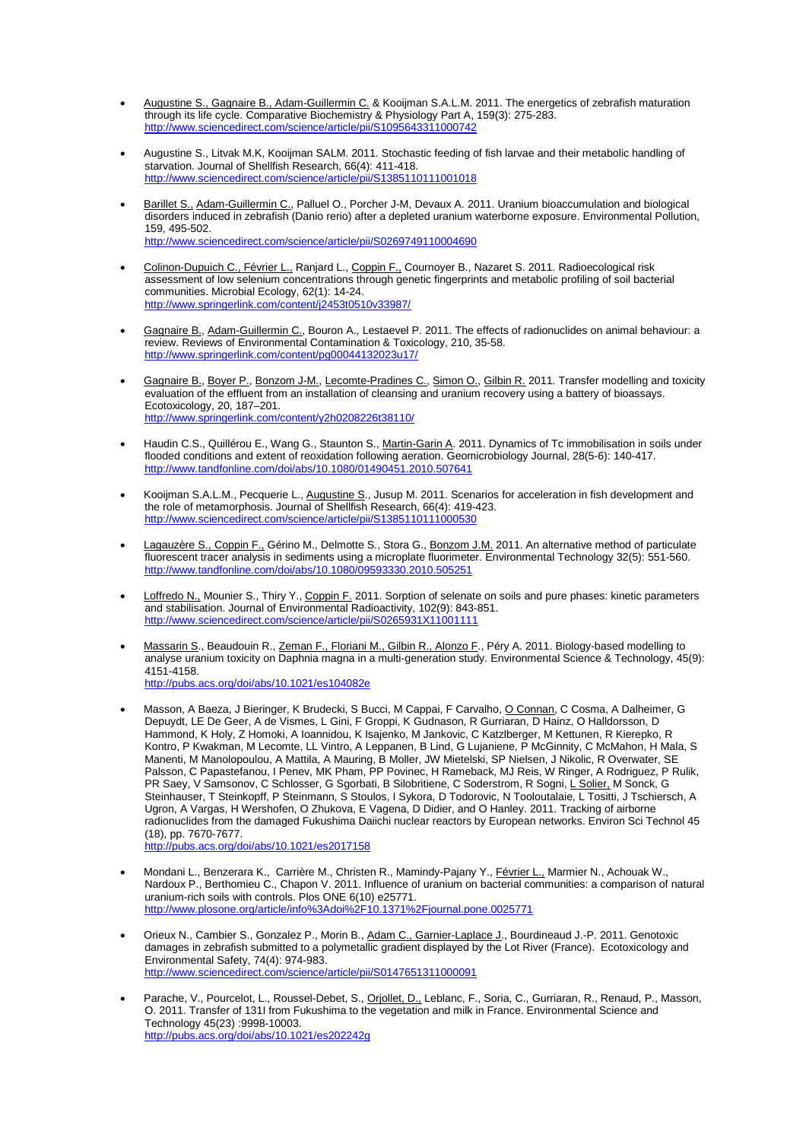- Augustine S., Gagnaire B., Adam-Guillermin C. & Kooijman S.A.L.M. 2011. The energetics of zebrafish maturation through its life cycle. Comparative Biochemistry & Physiology Part A, 159(3): 275-283. http://www.sciencedirect.com/science/article/pii/S1095643311000742
- Augustine S., Litvak M.K, Kooijman SALM. 2011. Stochastic feeding of fish larvae and their metabolic handling of starvation. Journal of Shellfish Research, 66(4): 411-418. http://www.sciencedirect.com/science/article/pii/S1385110111001018
- Barillet S., Adam-Guillermin C., Palluel O., Porcher J-M, Devaux A. 2011. Uranium bioaccumulation and biological disorders induced in zebrafish (Danio rerio) after a depleted uranium waterborne exposure. Environmental Pollution, 159, 495-502. http://www.sciencedirect.com/science/article/pii/S0269749110004690
- Colinon-Dupuich C., Février L., Ranjard L., Coppin F., Cournoyer B., Nazaret S. 2011. Radioecological risk assessment of low selenium concentrations through genetic fingerprints and metabolic profiling of soil bacterial communities. Microbial Ecology, 62(1): 14-24. http://www.springerlink.com/content/j2453t0510v33987/
- Gagnaire B., Adam-Guillermin C., Bouron A., Lestaevel P. 2011. The effects of radionuclides on animal behaviour: a review. Reviews of Environmental Contamination & Toxicology, 210, 35-58. http://www.springerlink.com/content/pg00044132023u17/
- Gagnaire B., Boyer P., Bonzom J-M., Lecomte-Pradines C., Simon O., Gilbin R. 2011. Transfer modelling and toxicity evaluation of the effluent from an installation of cleansing and uranium recovery using a battery of bioassays. Ecotoxicology, 20, 187–201. http://www.springerlink.com/content/y2h0208226t38110/
- Haudin C.S., Quillérou E., Wang G., Staunton S., Martin-Garin A. 2011. Dynamics of Tc immobilisation in soils under flooded conditions and extent of reoxidation following aeration. Geomicrobiology Journal, 28(5-6): 140-417. http://www.tandfonline.com/doi/abs/10.1080/01490451.2010.507641
- Kooijman S.A.L.M., Pecquerie L., Augustine S., Jusup M. 2011. Scenarios for acceleration in fish development and the role of metamorphosis. Journal of Shellfish Research, 66(4): 419-423. http://www.sciencedirect.com/science/article/pii/S1385110111000530
- Lagauzère S., Coppin F., Gérino M., Delmotte S., Stora G., Bonzom J.M. 2011. An alternative method of particulate fluorescent tracer analysis in sediments using a microplate fluorimeter. Environmental Technology 32(5): 551-560. http://www.tandfonline.com/doi/abs/10.1080/09593330.2010.505251
- Loffredo N., Mounier S., Thiry Y., Coppin F. 2011. Sorption of selenate on soils and pure phases: kinetic parameters and stabilisation. Journal of Environmental Radioactivity, 102(9): 843-851. http://www.sciencedirect.com/science/article/pii/S0265931X11001111
- Massarin S., Beaudouin R., Zeman F., Floriani M., Gilbin R., Alonzo F., Péry A. 2011. Biology-based modelling to analyse uranium toxicity on Daphnia magna in a multi-generation study. Environmental Science & Technology, 45(9): 4151-4158. http://pubs.acs.org/doi/abs/10.1021/es104082e
- Masson, A Baeza, J Bieringer, K Brudecki, S Bucci, M Cappai, F Carvalho, O Connan, C Cosma, A Dalheimer, G Depuydt, LE De Geer, A de Vismes, L Gini, F Groppi, K Gudnason, R Gurriaran, D Hainz, O Halldorsson, D Hammond, K Holy, Z Homoki, A Ioannidou, K Isajenko, M Jankovic, C Katzlberger, M Kettunen, R Kierepko, R Kontro, P Kwakman, M Lecomte, LL Vintro, A Leppanen, B Lind, G Lujaniene, P McGinnity, C McMahon, H Mala, S Manenti, M Manolopoulou, A Mattila, A Mauring, B Moller, JW Mietelski, SP Nielsen, J Nikolic, R Overwater, SE Palsson, C Papastefanou, I Penev, MK Pham, PP Povinec, H Rameback, MJ Reis, W Ringer, A Rodriguez, P Rulik, PR Saey, V Samsonov, C Schlosser, G Sgorbati, B Silobritiene, C Soderstrom, R Sogni, L Solier, M Sonck, G Steinhauser, T Steinkopff, P Steinmann, S Stoulos, I Sykora, D Todorovic, N Tooloutalaie, L Tositti, J Tschiersch, A Ugron, A Vargas, H Wershofen, O Zhukova, E Vagena, D Didier, and O Hanley. 2011. Tracking of airborne radionuclides from the damaged Fukushima Daiichi nuclear reactors by European networks. Environ Sci Technol 45 (18), pp. 7670-7677. http://pubs.acs.org/doi/abs/10.1021/es2017158

**• Mondani L., Benzerara K., Carrière M., Christen R., Mamindy-Pajany Y.,** *Février L., M***armier N., Achouak W.,** Nardoux P., Berthomieu C., Chapon V. 2011. Influence of uranium on bacterial communities: a comparison of natural uranium-rich soils with controls. Plos ONE 6(10) e25771. http://www.plosone.org/article/info%3Adoi%2F10.1371%2Fjournal.pone.0025771

- Orieux N., Cambier S., Gonzalez P., Morin B., Adam C., Garnier-Laplace J., Bourdineaud J.-P. 2011. Genotoxic damages in zebrafish submitted to a polymetallic gradient displayed by the Lot River (France). Ecotoxicology and Environmental Safety, 74(4): 974-983. http://science/article/pii/S0147651311000091
- Parache, V., Pourcelot, L., Roussel-Debet, S., Orjollet, D., Leblanc, F., Soria, C., Gurriaran, R., Renaud, P., Masson, O. 2011. Transfer of 131I from Fukushima to the vegetation and milk in France. Environmental Science and Technology 45(23) :9998-10003. http://pubs.acs.org/doi/abs/10.1021/es202242g